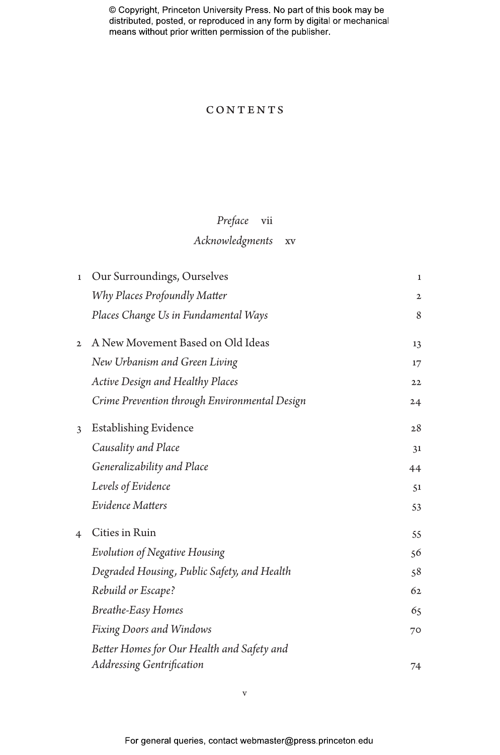### **CONTENTS**

# *Preface* vii

# *Acknowledgments* xv

| $\mathbf{1}$            | Our Surroundings, Ourselves                   | 1            |
|-------------------------|-----------------------------------------------|--------------|
|                         | Why Places Profoundly Matter                  | $\mathbf{2}$ |
|                         | Places Change Us in Fundamental Ways          | 8            |
| 2                       | A New Movement Based on Old Ideas             | 13           |
|                         | New Urbanism and Green Living                 | 17           |
|                         | Active Design and Healthy Places              | 22           |
|                         | Crime Prevention through Environmental Design | 24           |
| 3                       | <b>Establishing Evidence</b>                  | 28           |
|                         | Causality and Place                           | 31           |
|                         | Generalizability and Place                    | 44           |
|                         | Levels of Evidence                            | 51           |
|                         | <b>Evidence Matters</b>                       | 53           |
| $\overline{\mathbf{4}}$ | Cities in Ruin                                | 55           |
|                         | <b>Evolution of Negative Housing</b>          | 56           |
|                         | Degraded Housing, Public Safety, and Health   | 58           |
|                         | Rebuild or Escape?                            | 62           |
|                         | <b>Breathe-Easy Homes</b>                     | 65           |
|                         | Fixing Doors and Windows                      | 70           |
|                         | Better Homes for Our Health and Safety and    |              |
|                         | <b>Addressing Gentrification</b>              | 74           |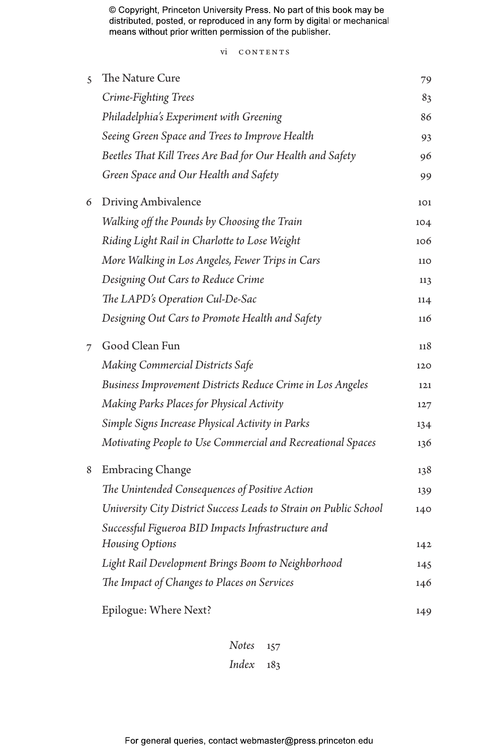vi CONTENTS

| 5 | The Nature Cure                                                   | 79  |
|---|-------------------------------------------------------------------|-----|
|   | Crime-Fighting Trees                                              | 83  |
|   | Philadelphia's Experiment with Greening                           | 86  |
|   | Seeing Green Space and Trees to Improve Health                    | 93  |
|   | Beetles That Kill Trees Are Bad for Our Health and Safety         | 96  |
|   | Green Space and Our Health and Safety                             | 99  |
| 6 | Driving Ambivalence                                               | 101 |
|   | Walking off the Pounds by Choosing the Train                      | 104 |
|   | Riding Light Rail in Charlotte to Lose Weight                     | 106 |
|   | More Walking in Los Angeles, Fewer Trips in Cars                  | 110 |
|   | Designing Out Cars to Reduce Crime                                | 113 |
|   | The LAPD's Operation Cul-De-Sac                                   | 114 |
|   | Designing Out Cars to Promote Health and Safety                   | 116 |
| 7 | Good Clean Fun                                                    | 118 |
|   | Making Commercial Districts Safe                                  | 120 |
|   | Business Improvement Districts Reduce Crime in Los Angeles        | 121 |
|   | Making Parks Places for Physical Activity                         | 127 |
|   | Simple Signs Increase Physical Activity in Parks                  | 134 |
|   | Motivating People to Use Commercial and Recreational Spaces       | 136 |
| 8 | <b>Embracing Change</b>                                           | 138 |
|   | The Unintended Consequences of Positive Action                    | 139 |
|   | University City District Success Leads to Strain on Public School | 140 |
|   | Successful Figueroa BID Impacts Infrastructure and                |     |
|   | Housing Options                                                   | 142 |
|   | Light Rail Development Brings Boom to Neighborhood                | 145 |
|   | The Impact of Changes to Places on Services                       | 146 |
|   | Epilogue: Where Next?                                             | 149 |

*Notes* 157 *Index* 183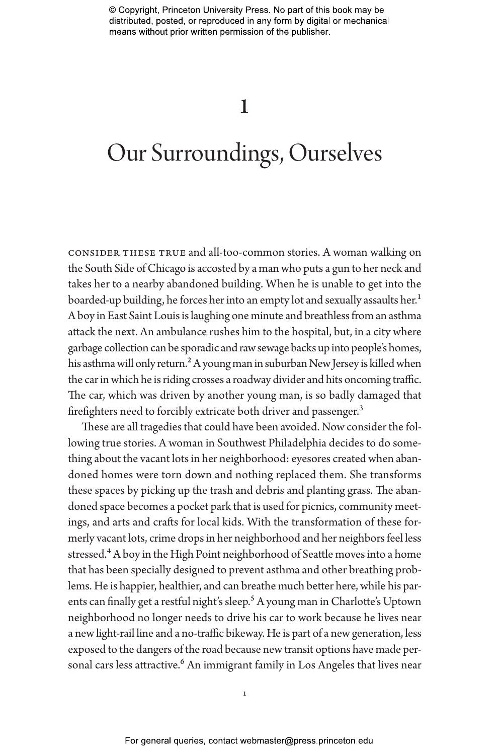# 1

# Our Surroundings, Ourselves

consider these true and all-too-common stories. A woman walking on the South Side of Chicago is accosted by a man who puts a gun to her neck and takes her to a nearby abandoned building. When he is unable to get into the boarded-up building, he forces her into an empty lot and sexually assaults her.<sup>1</sup> A boy in East Saint Louis is laughing one minute and breathless from an asthma attack the next. An ambulance rushes him to the hospital, but, in a city where garbage collection can be sporadic and raw sewage backs up into people's homes, his asthma will only return.<sup>2</sup> A young man in suburban New Jersey is killed when the car in which he is riding crosses a roadway divider and hits oncoming traffic. The car, which was driven by another young man, is so badly damaged that firefighters need to forcibly extricate both driver and passenger.<sup>3</sup>

These are all tragedies that could have been avoided. Now consider the following true stories. A woman in Southwest Philadelphia decides to do something about the vacant lots in her neighborhood: eyesores created when abandoned homes were torn down and nothing replaced them. She transforms these spaces by picking up the trash and debris and planting grass. The abandoned space becomes a pocket park that is used for picnics, community meetings, and arts and crafts for local kids. With the transformation of these formerly vacant lots, crime drops in her neighborhood and her neighbors feel less stressed.<sup>4</sup> A boy in the High Point neighborhood of Seattle moves into a home that has been specially designed to prevent asthma and other breathing problems. He is happier, healthier, and can breathe much better here, while his parents can finally get a restful night's sleep.<sup>5</sup> A young man in Charlotte's Uptown neighborhood no longer needs to drive his car to work because he lives near a new light-rail line and a no-traffic bikeway. He is part of a new generation, less exposed to the dangers of the road because new transit options have made personal cars less attractive.<sup>6</sup> An immigrant family in Los Angeles that lives near

1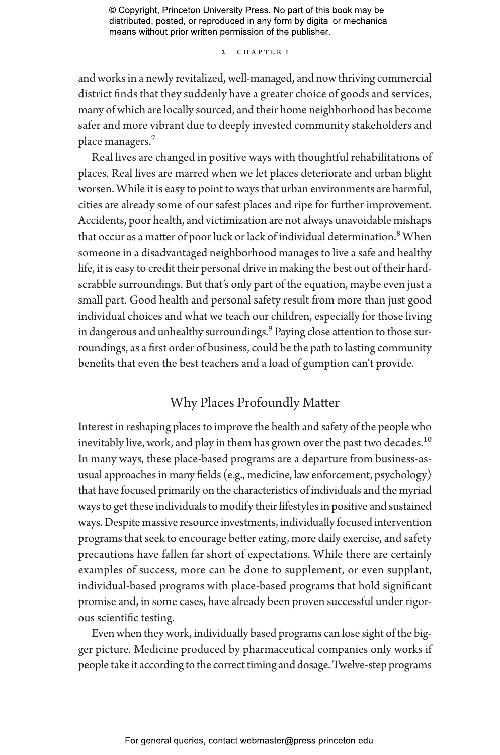2 CHAPTER 1

and works in a newly revitalized, well-managed, and now thriving commercial district finds that they suddenly have a greater choice of goods and services, many of which are locally sourced, and their home neighborhood has become safer and more vibrant due to deeply invested community stakeholders and place managers.7

Real lives are changed in positive ways with thoughtful rehabilitations of places. Real lives are marred when we let places deteriorate and urban blight worsen. While it is easy to point to ways that urban environments are harmful, cities are already some of our safest places and ripe for further improvement. Accidents, poor health, and victimization are not always unavoidable mishaps that occur as a matter of poor luck or lack of individual determination.<sup>8</sup> When someone in a disadvantaged neighborhood manages to live a safe and healthy life, it is easy to credit their personal drive in making the best out of their hardscrabble surroundings. But that's only part of the equation, maybe even just a small part. Good health and personal safety result from more than just good individual choices and what we teach our children, especially for those living in dangerous and unhealthy surroundings.<sup>9</sup> Paying close attention to those surroundings, as a first order of business, could be the path to lasting community benefits that even the best teachers and a load of gumption can't provide.

# Why Places Profoundly Matter

Interest in reshaping places to improve the health and safety of the people who inevitably live, work, and play in them has grown over the past two decades.<sup>10</sup> In many ways, these place-based programs are a departure from business-asusual approaches in many fields (e.g., medicine, law enforcement, psychology) that have focused primarily on the characteristics of individuals and the myriad ways to get these individuals to modify their lifestyles in positive and sustained ways. Despite massive resource investments, individually focused intervention programs that seek to encourage better eating, more daily exercise, and safety precautions have fallen far short of expectations. While there are certainly examples of success, more can be done to supplement, or even supplant, individual-based programs with place-based programs that hold significant promise and, in some cases, have already been proven successful under rigorous scientific testing.

Even when they work, individually based programs can lose sight of the bigger picture. Medicine produced by pharmaceutical companies only works if people take it according to the correct timing and dosage. Twelve-step programs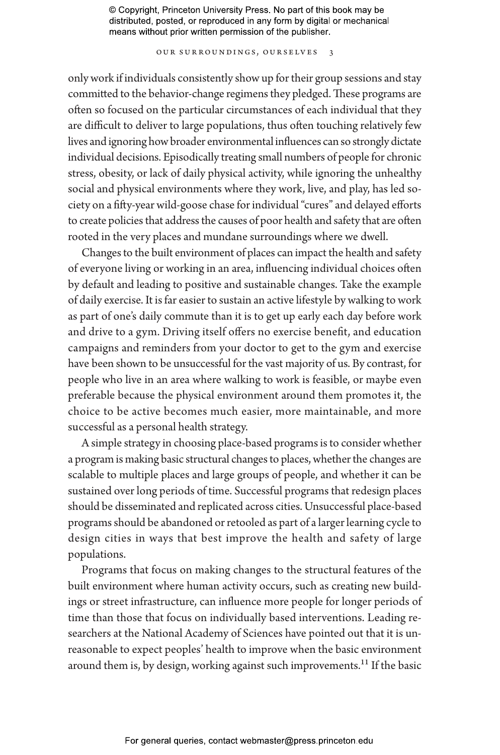Our Surroundings, Ourselves 3

only work if individuals consistently show up for their group sessions and stay committed to the behavior-change regimens they pledged. These programs are often so focused on the particular circumstances of each individual that they are difficult to deliver to large populations, thus often touching relatively few lives and ignoring how broader environmental influences can so strongly dictate individual decisions. Episodically treating small numbers of people for chronic stress, obesity, or lack of daily physical activity, while ignoring the unhealthy social and physical environments where they work, live, and play, has led society on a fifty-year wild-goose chase for individual "cures" and delayed efforts to create policies that address the causes of poor health and safety that are often rooted in the very places and mundane surroundings where we dwell.

Changes to the built environment of places can impact the health and safety of everyone living or working in an area, influencing individual choices often by default and leading to positive and sustainable changes. Take the example of daily exercise. It is far easier to sustain an active lifestyle by walking to work as part of one's daily commute than it is to get up early each day before work and drive to a gym. Driving itself offers no exercise benefit, and education campaigns and reminders from your doctor to get to the gym and exercise have been shown to be unsuccessful for the vast majority of us. By contrast, for people who live in an area where walking to work is feasible, or maybe even preferable because the physical environment around them promotes it, the choice to be active becomes much easier, more maintainable, and more successful as a personal health strategy.

A simple strategy in choosing place-based programs is to consider whether a program is making basic structural changes to places, whether the changes are scalable to multiple places and large groups of people, and whether it can be sustained over long periods of time. Successful programs that redesign places should be disseminated and replicated across cities. Unsuccessful place-based programs should be abandoned or retooled as part of a larger learning cycle to design cities in ways that best improve the health and safety of large populations.

Programs that focus on making changes to the structural features of the built environment where human activity occurs, such as creating new buildings or street infrastructure, can influence more people for longer periods of time than those that focus on individually based interventions. Leading researchers at the National Academy of Sciences have pointed out that it is unreasonable to expect peoples' health to improve when the basic environment around them is, by design, working against such improvements.<sup>11</sup> If the basic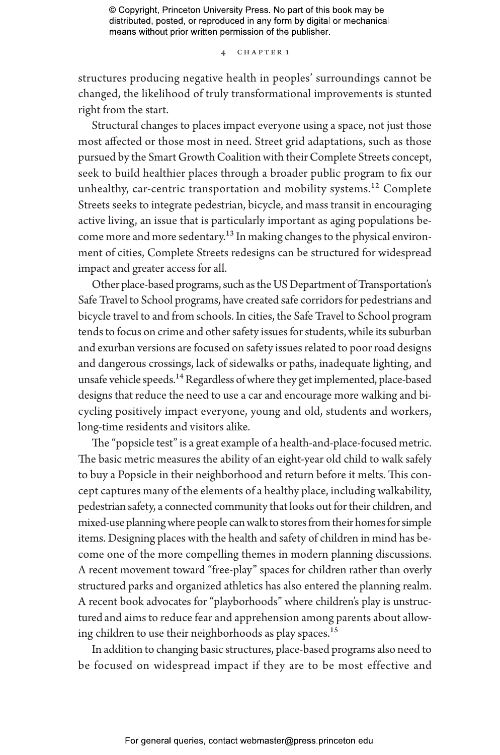4 Chapter 1

structures producing negative health in peoples' surroundings cannot be changed, the likelihood of truly transformational improvements is stunted right from the start.

Structural changes to places impact everyone using a space, not just those most affected or those most in need. Street grid adaptations, such as those pursued by the Smart Growth Coalition with their Complete Streets concept, seek to build healthier places through a broader public program to fix our unhealthy, car-centric transportation and mobility systems.<sup>12</sup> Complete Streets seeks to integrate pedestrian, bicycle, and mass transit in encouraging active living, an issue that is particularly important as aging populations become more and more sedentary.13 In making changes to the physical environment of cities, Complete Streets redesigns can be structured for widespread impact and greater access for all.

Other place-based programs, such as the US Department of Transportation's Safe Travel to School programs, have created safe corridors for pedestrians and bicycle travel to and from schools. In cities, the Safe Travel to School program tends to focus on crime and other safety issues for students, while its suburban and exurban versions are focused on safety issues related to poor road designs and dangerous crossings, lack of sidewalks or paths, inadequate lighting, and unsafe vehicle speeds.<sup>14</sup> Regardless of where they get implemented, place-based designs that reduce the need to use a car and encourage more walking and bicycling positively impact everyone, young and old, students and workers, long-time residents and visitors alike.

The "popsicle test" is a great example of a health-and-place-focused metric. The basic metric measures the ability of an eight-year old child to walk safely to buy a Popsicle in their neighborhood and return before it melts. This concept captures many of the elements of a healthy place, including walkability, pedestrian safety, a connected community that looks out for their children, and mixed-use planning where people can walk to stores from their homes for simple items. Designing places with the health and safety of children in mind has become one of the more compelling themes in modern planning discussions. A recent movement toward "free-play" spaces for children rather than overly structured parks and organized athletics has also entered the planning realm. A recent book advocates for "playborhoods" where children's play is unstructured and aims to reduce fear and apprehension among parents about allowing children to use their neighborhoods as play spaces.<sup>15</sup>

In addition to changing basic structures, place-based programs also need to be focused on widespread impact if they are to be most effective and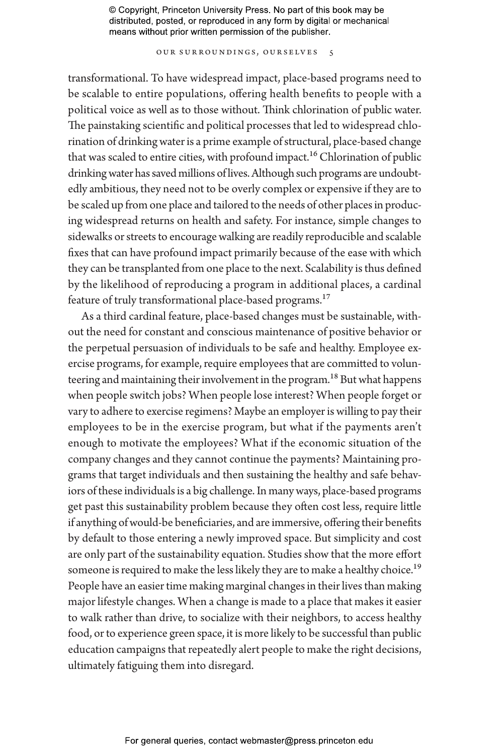OUR SURROUNDINGS, OURSELVES 5

transformational. To have widespread impact, place-based programs need to be scalable to entire populations, offering health benefits to people with a political voice as well as to those without. Think chlorination of public water. The painstaking scientific and political processes that led to widespread chlorination of drinking water is a prime example of structural, place-based change that was scaled to entire cities, with profound impact.<sup>16</sup> Chlorination of public drinking water has saved millions of lives. Although such programs are undoubtedly ambitious, they need not to be overly complex or expensive if they are to be scaled up from one place and tailored to the needs of other places in producing widespread returns on health and safety. For instance, simple changes to sidewalks or streets to encourage walking are readily reproducible and scalable fixes that can have profound impact primarily because of the ease with which they can be transplanted from one place to the next. Scalability is thus defined by the likelihood of reproducing a program in additional places, a cardinal feature of truly transformational place-based programs.<sup>17</sup>

As a third cardinal feature, place-based changes must be sustainable, without the need for constant and conscious maintenance of positive behavior or the perpetual persuasion of individuals to be safe and healthy. Employee exercise programs, for example, require employees that are committed to volunteering and maintaining their involvement in the program.<sup>18</sup> But what happens when people switch jobs? When people lose interest? When people forget or vary to adhere to exercise regimens? Maybe an employer is willing to pay their employees to be in the exercise program, but what if the payments aren't enough to motivate the employees? What if the economic situation of the company changes and they cannot continue the payments? Maintaining programs that target individuals and then sustaining the healthy and safe behaviors of these individuals is a big challenge. In many ways, place-based programs get past this sustainability problem because they often cost less, require little if anything of would-be beneficiaries, and are immersive, offering their benefits by default to those entering a newly improved space. But simplicity and cost are only part of the sustainability equation. Studies show that the more effort someone is required to make the less likely they are to make a healthy choice.<sup>19</sup> People have an easier time making marginal changes in their lives than making major lifestyle changes. When a change is made to a place that makes it easier to walk rather than drive, to socialize with their neighbors, to access healthy food, or to experience green space, it is more likely to be successful than public education campaigns that repeatedly alert people to make the right decisions, ultimately fatiguing them into disregard.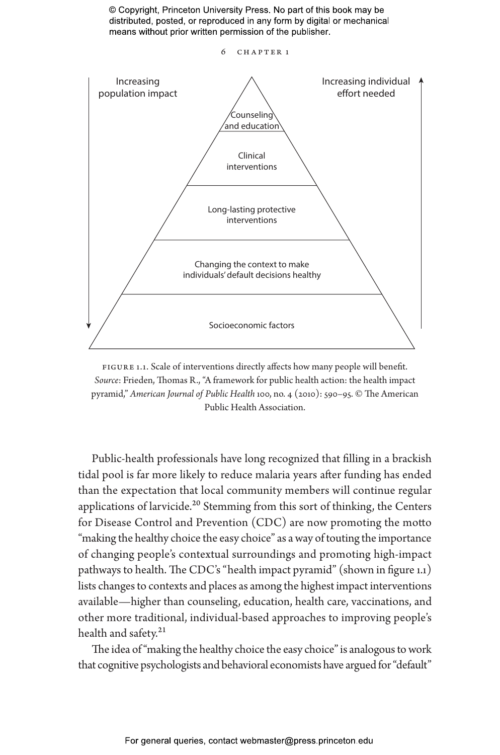

FIGURE 1.1. Scale of interventions directly affects how many people will benefit. *Source*: Frieden, Thomas R., "A framework for public health action: the health impact pyramid," *American Journal of Public Health* 100, no. 4 (2010): 590–95. © The American Public Health Association.

Public-health professionals have long recognized that filling in a brackish tidal pool is far more likely to reduce malaria years after funding has ended than the expectation that local community members will continue regular applications of larvicide.<sup>20</sup> Stemming from this sort of thinking, the Centers for Disease Control and Prevention (CDC) are now promoting the motto "making the healthy choice the easy choice" as a way of touting the importance of changing people's contextual surroundings and promoting high-impact pathways to health. The CDC's "health impact pyramid" (shown in figure 1.1) lists changes to contexts and places as among the highest impact interventions available—higher than counseling, education, health care, vaccinations, and other more traditional, individual-based approaches to improving people's health and safety.<sup>21</sup>

The idea of "making the healthy choice the easy choice" is analogous to work that cognitive psychologists and behavioral economists have argued for "default"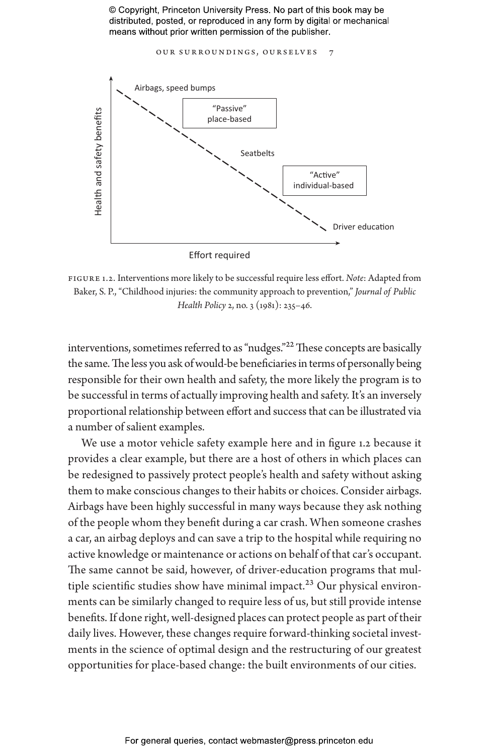Our Surroundings, Ourselves 7



figure 1.2. Interventions more likely to be successful require less effort. *Note*: Adapted from Baker, S. P., "Childhood injuries: the community approach to prevention," *Journal of Public Health Policy* 2, no. 3 (1981): 235–46.

interventions, sometimes referred to as "nudges."<sup>22</sup> These concepts are basically the same. The less you ask of would-be beneficiaries in terms of personally being responsible for their own health and safety, the more likely the program is to be successful in terms of actually improving health and safety. It's an inversely proportional relationship between effort and success that can be illustrated via a number of salient examples.

We use a motor vehicle safety example here and in figure 1.2 because it provides a clear example, but there are a host of others in which places can be redesigned to passively protect people's health and safety without asking them to make conscious changes to their habits or choices. Consider airbags. Airbags have been highly successful in many ways because they ask nothing of the people whom they benefit during a car crash. When someone crashes a car, an airbag deploys and can save a trip to the hospital while requiring no active knowledge or maintenance or actions on behalf of that car's occupant. The same cannot be said, however, of driver-education programs that multiple scientific studies show have minimal impact.<sup>23</sup> Our physical environments can be similarly changed to require less of us, but still provide intense benefits. If done right, well-designed places can protect people as part of their daily lives. However, these changes require forward-thinking societal investments in the science of optimal design and the restructuring of our greatest opportunities for place-based change: the built environments of our cities.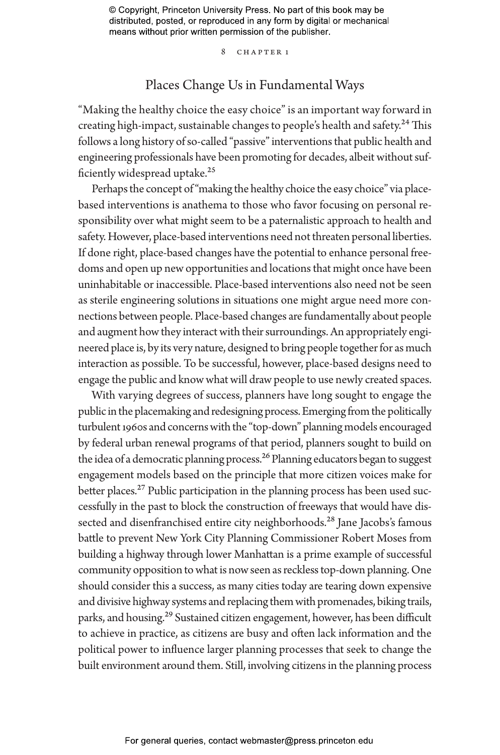8 CHAPTER 1

## Places Change Us in Fundamental Ways

"Making the healthy choice the easy choice" is an important way forward in creating high-impact, sustainable changes to people's health and safety.<sup>24</sup> This follows a long history of so-called "passive" interventions that public health and engineering professionals have been promoting for decades, albeit without sufficiently widespread uptake.<sup>25</sup>

Perhaps the concept of "making the healthy choice the easy choice" via placebased interventions is anathema to those who favor focusing on personal responsibility over what might seem to be a paternalistic approach to health and safety. However, place-based interventions need not threaten personal liberties. If done right, place-based changes have the potential to enhance personal freedoms and open up new opportunities and locations that might once have been uninhabitable or inaccessible. Place-based interventions also need not be seen as sterile engineering solutions in situations one might argue need more connections between people. Place-based changes are fundamentally about people and augment how they interact with their surroundings. An appropriately engineered place is, by its very nature, designed to bring people together for as much interaction as possible. To be successful, however, place-based designs need to engage the public and know what will draw people to use newly created spaces.

With varying degrees of success, planners have long sought to engage the public in the placemaking and redesigning process. Emerging from the politically turbulent 1960s and concerns with the "top-down" planning models encouraged by federal urban renewal programs of that period, planners sought to build on the idea of a democratic planning process.<sup>26</sup> Planning educators began to suggest engagement models based on the principle that more citizen voices make for better places.<sup>27</sup> Public participation in the planning process has been used successfully in the past to block the construction of freeways that would have dissected and disenfranchised entire city neighborhoods.<sup>28</sup> Jane Jacobs's famous battle to prevent New York City Planning Commissioner Robert Moses from building a highway through lower Manhattan is a prime example of successful community opposition to what is now seen as reckless top-down planning. One should consider this a success, as many cities today are tearing down expensive and divisive highway systems and replacing them with promenades, biking trails, parks, and housing.<sup>29</sup> Sustained citizen engagement, however, has been difficult to achieve in practice, as citizens are busy and often lack information and the political power to influence larger planning processes that seek to change the built environment around them. Still, involving citizens in the planning process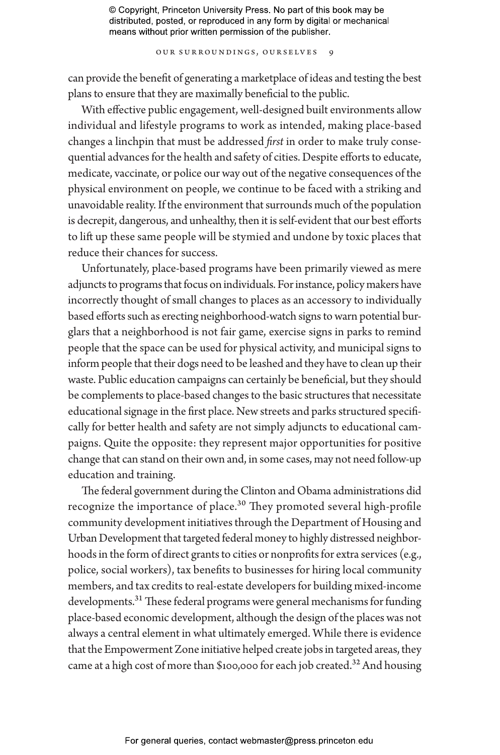Our Surroundings, Ourselves 9

can provide the benefit of generating a marketplace of ideas and testing the best plans to ensure that they are maximally beneficial to the public.

With effective public engagement, well-designed built environments allow individual and lifestyle programs to work as intended, making place-based changes a linchpin that must be addressed *first* in order to make truly consequential advances for the health and safety of cities. Despite efforts to educate, medicate, vaccinate, or police our way out of the negative consequences of the physical environment on people, we continue to be faced with a striking and unavoidable reality. If the environment that surrounds much of the population is decrepit, dangerous, and unhealthy, then it is self-evident that our best efforts to lift up these same people will be stymied and undone by toxic places that reduce their chances for success.

Unfortunately, place-based programs have been primarily viewed as mere adjuncts to programs that focus on individuals. For instance, policy makers have incorrectly thought of small changes to places as an accessory to individually based efforts such as erecting neighborhood-watch signs to warn potential burglars that a neighborhood is not fair game, exercise signs in parks to remind people that the space can be used for physical activity, and municipal signs to inform people that their dogs need to be leashed and they have to clean up their waste. Public education campaigns can certainly be beneficial, but they should be complements to place-based changes to the basic structures that necessitate educational signage in the first place. New streets and parks structured specifically for better health and safety are not simply adjuncts to educational campaigns. Quite the opposite: they represent major opportunities for positive change that can stand on their own and, in some cases, may not need follow-up education and training.

The federal government during the Clinton and Obama administrations did recognize the importance of place.30 They promoted several high-profile community development initiatives through the Department of Housing and Urban Development that targeted federal money to highly distressed neighborhoods in the form of direct grants to cities or nonprofits for extra services (e.g., police, social workers), tax benefits to businesses for hiring local community members, and tax credits to real-estate developers for building mixed-income developments.<sup>31</sup> These federal programs were general mechanisms for funding place-based economic development, although the design of the places was not always a central element in what ultimately emerged. While there is evidence that the Empowerment Zone initiative helped create jobs in targeted areas, they came at a high cost of more than \$100,000 for each job created.32 And housing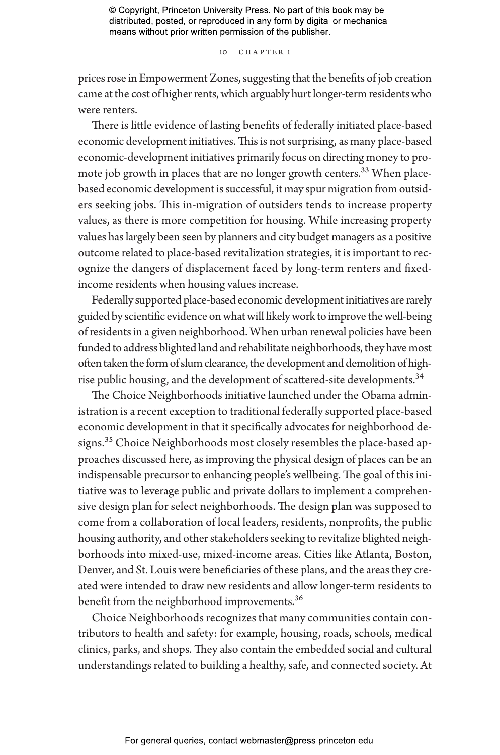10 CHAPTER 1

prices rose in Empowerment Zones, suggesting that the benefits of job creation came at the cost of higher rents, which arguably hurt longer-term residents who were renters.

There is little evidence of lasting benefits of federally initiated place-based economic development initiatives. This is not surprising, as many place-based economic-development initiatives primarily focus on directing money to promote job growth in places that are no longer growth centers.<sup>33</sup> When placebased economic development is successful, it may spur migration from outsiders seeking jobs. This in-migration of outsiders tends to increase property values, as there is more competition for housing. While increasing property values has largely been seen by planners and city budget managers as a positive outcome related to place-based revitalization strategies, it is important to recognize the dangers of displacement faced by long-term renters and fixedincome residents when housing values increase.

Federally supported place-based economic development initiatives are rarely guided by scientific evidence on what will likely work to improve the well-being of residents in a given neighborhood. When urban renewal policies have been funded to address blighted land and rehabilitate neighborhoods, they have most often taken the form of slum clearance, the development and demolition of highrise public housing, and the development of scattered-site developments.<sup>34</sup>

The Choice Neighborhoods initiative launched under the Obama administration is a recent exception to traditional federally supported place-based economic development in that it specifically advocates for neighborhood designs.<sup>35</sup> Choice Neighborhoods most closely resembles the place-based approaches discussed here, as improving the physical design of places can be an indispensable precursor to enhancing people's wellbeing. The goal of this initiative was to leverage public and private dollars to implement a comprehensive design plan for select neighborhoods. The design plan was supposed to come from a collaboration of local leaders, residents, nonprofits, the public housing authority, and other stakeholders seeking to revitalize blighted neighborhoods into mixed-use, mixed-income areas. Cities like Atlanta, Boston, Denver, and St. Louis were beneficiaries of these plans, and the areas they created were intended to draw new residents and allow longer-term residents to benefit from the neighborhood improvements.<sup>36</sup>

Choice Neighborhoods recognizes that many communities contain contributors to health and safety: for example, housing, roads, schools, medical clinics, parks, and shops. They also contain the embedded social and cultural understandings related to building a healthy, safe, and connected society. At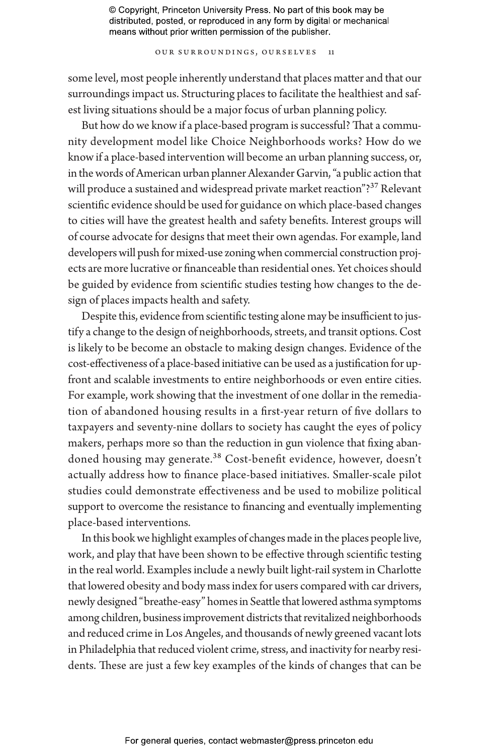OUR SURROUNDINGS, OURSELVES 11

some level, most people inherently understand that places matter and that our surroundings impact us. Structuring places to facilitate the healthiest and safest living situations should be a major focus of urban planning policy.

But how do we know if a place-based program is successful? That a community development model like Choice Neighborhoods works? How do we know if a place-based intervention will become an urban planning success, or, in the words of American urban planner Alexander Garvin, "a public action that will produce a sustained and widespread private market reaction"?<sup>37</sup> Relevant scientific evidence should be used for guidance on which place-based changes to cities will have the greatest health and safety benefits. Interest groups will of course advocate for designs that meet their own agendas. For example, land developers will push for mixed-use zoning when commercial construction projects are more lucrative or financeable than residential ones. Yet choices should be guided by evidence from scientific studies testing how changes to the design of places impacts health and safety.

Despite this, evidence from scientific testing alone may be insufficient to justify a change to the design of neighborhoods, streets, and transit options. Cost is likely to be become an obstacle to making design changes. Evidence of the cost-effectiveness of a place-based initiative can be used as a justification for upfront and scalable investments to entire neighborhoods or even entire cities. For example, work showing that the investment of one dollar in the remediation of abandoned housing results in a first-year return of five dollars to taxpayers and seventy-nine dollars to society has caught the eyes of policy makers, perhaps more so than the reduction in gun violence that fixing abandoned housing may generate.<sup>38</sup> Cost-benefit evidence, however, doesn't actually address how to finance place-based initiatives. Smaller-scale pilot studies could demonstrate effectiveness and be used to mobilize political support to overcome the resistance to financing and eventually implementing place-based interventions.

In this book we highlight examples of changes made in the places people live, work, and play that have been shown to be effective through scientific testing in the real world. Examples include a newly built light-rail system in Charlotte that lowered obesity and body mass index for users compared with car drivers, newly designed "breathe-easy" homes in Seattle that lowered asthma symptoms among children, business improvement districts that revitalized neighborhoods and reduced crime in Los Angeles, and thousands of newly greened vacant lots in Philadelphia that reduced violent crime, stress, and inactivity for nearby residents. These are just a few key examples of the kinds of changes that can be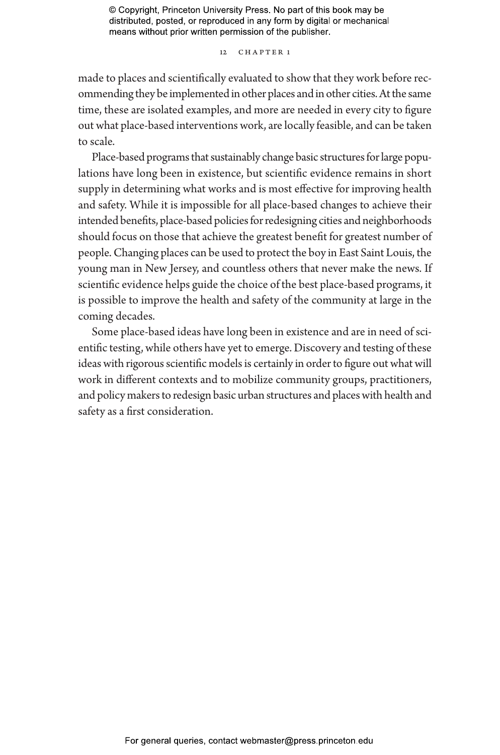12 CHAPTER 1

made to places and scientifically evaluated to show that they work before recommending they be implemented in other places and in other cities. At the same time, these are isolated examples, and more are needed in every city to figure out what place-based interventions work, are locally feasible, and can be taken to scale.

Place-based programs that sustainably change basic structures for large populations have long been in existence, but scientific evidence remains in short supply in determining what works and is most effective for improving health and safety. While it is impossible for all place-based changes to achieve their intended benefits, place-based policies for redesigning cities and neighborhoods should focus on those that achieve the greatest benefit for greatest number of people. Changing places can be used to protect the boy in East Saint Louis, the young man in New Jersey, and countless others that never make the news. If scientific evidence helps guide the choice of the best place-based programs, it is possible to improve the health and safety of the community at large in the coming decades.

Some place-based ideas have long been in existence and are in need of scientific testing, while others have yet to emerge. Discovery and testing of these ideas with rigorous scientific models is certainly in order to figure out what will work in different contexts and to mobilize community groups, practitioners, and policy makers to redesign basic urban structures and places with health and safety as a first consideration.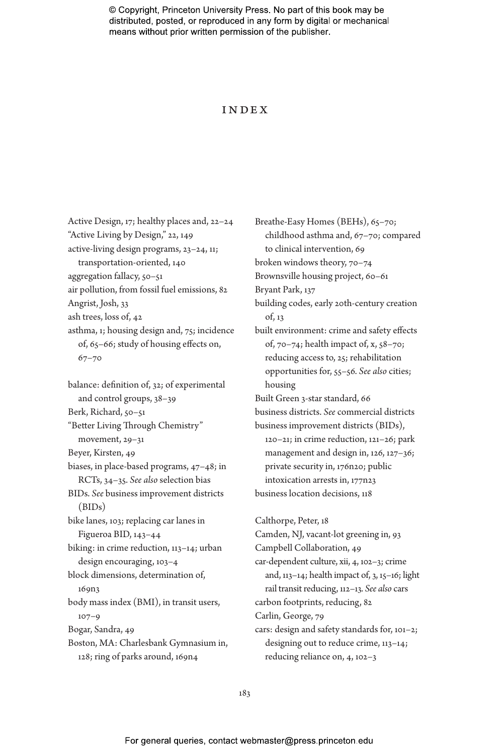#### Index

Active Design, 17; healthy places and, 22–24 "Active Living by Design," 22, 149 active-living design programs, 23–24, 11; transportation-oriented, 140 aggregation fallacy, 50–51 air pollution, from fossil fuel emissions, 82 Angrist, Josh, 33 ash trees, loss of, 42 asthma, 1; housing design and, 75; incidence of, 65–66; study of housing effects on, 67–70

balance: definition of, 32; of experimental and control groups, 38–39 Berk, Richard, 50–51 "Better Living Through Chemistry" movement, 29–31 Beyer, Kirsten, 49 biases, in place-based programs, 47–48; in RCTs, 34–35. *See also* selection bias BIDs. *See* business improvement districts (BIDs) bike lanes, 103; replacing car lanes in Figueroa BID, 143–44 biking: in crime reduction, 113–14; urban design encouraging, 103–4 block dimensions, determination of, 169n3 body mass index (BMI), in transit users, 107–9 Bogar, Sandra, 49 Boston, MA: Charlesbank Gymnasium in, 128; ring of parks around, 169n4

Breathe-Easy Homes (BEHs), 65-70; childhood asthma and, 67–70; compared to clinical intervention, 69 broken windows theory, 70–74 Brownsville housing project, 60–61 Bryant Park, 137 building codes, early 20th-century creation of, 13 built environment: crime and safety effects of, 70–74; health impact of, x, 58–70; reducing access to, 25; rehabilitation opportunities for, 55–56. *See also* cities; housing Built Green 3-star standard, 66 business districts. *See* commercial districts business improvement districts (BIDs), 120–21; in crime reduction, 121–26; park management and design in, 126, 127–36; private security in, 176n20; public intoxication arrests in, 177n23 business location decisions, 118

Calthorpe, Peter, 18 Camden, NJ, vacant-lot greening in, 93 Campbell Collaboration, 49 car-dependent culture, xii, 4, 102–3; crime and, 113–14; health impact of, 3, 15–16; light rail transit reducing, 112–13. *See also* cars carbon footprints, reducing, 82 Carlin, George, 79 cars: design and safety standards for, 101–2; designing out to reduce crime, 113–14; reducing reliance on, 4, 102–3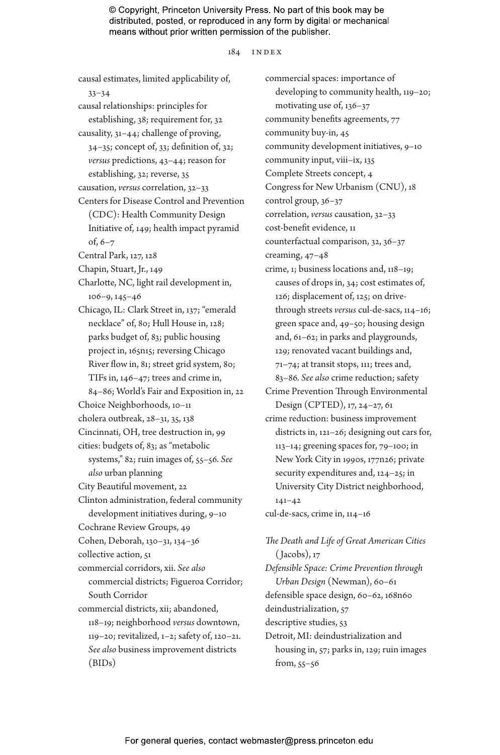#### 184 index

causal estimates, limited applicability of, 33–34 causal relationships: principles for establishing, 38; requirement for, 32 causality, 31–44; challenge of proving, 34–35; concept of, 33; definition of, 32; *versus* predictions, 43–44; reason for establishing, 32; reverse, 35 causation, *versus* correlation, 32–33 Centers for Disease Control and Prevention (CDC): Health Community Design Initiative of, 149; health impact pyramid of, 6–7 Central Park, 127, 128 Chapin, Stuart, Jr., 149 Charlotte, NC, light rail development in, 106–9, 145–46 Chicago, IL: Clark Street in, 137; "emerald necklace" of, 80; Hull House in, 128; parks budget of, 83; public housing project in, 165n15; reversing Chicago River flow in, 81; street grid system, 80; TIFs in, 146–47; trees and crime in, 84–86; World's Fair and Exposition in, 22 Choice Neighborhoods, 10–11 cholera outbreak, 28–31, 35, 138 Cincinnati, OH, tree destruction in, 99 cities: budgets of, 83; as "metabolic systems," 82; ruin images of, 55–56. *See also* urban planning City Beautiful movement, 22 Clinton administration, federal community development initiatives during, 9–10 Cochrane Review Groups, 49 Cohen, Deborah, 130–31, 134–36 collective action, 51 commercial corridors, xii. *See also* commercial districts; Figueroa Corridor; South Corridor commercial districts, xii; abandoned, 118–19; neighborhood *versus* downtown, 119–20; revitalized, 1–2; safety of, 120–21. *See also* business improvement districts (BIDs)

commercial spaces: importance of developing to community health, 119–20; motivating use of, 136–37 community benefits agreements, 77 community buy-in, 45 community development initiatives, 9–10 community input, viii–ix, 135 Complete Streets concept, 4 Congress for New Urbanism (CNU), 18 control group, 36–37 correlation, *versus* causation, 32–33 cost-benefit evidence, 11 counterfactual comparison, 32, 36–37 creaming, 47–48 crime, 1; business locations and, 118–19; causes of drops in, 34; cost estimates of, 126; displacement of, 125; on drivethrough streets *versus* cul-de-sacs, 114–16; green space and, 49–50; housing design and, 61–62; in parks and playgrounds, 129; renovated vacant buildings and, 71–74; at transit stops, 111; trees and, 83–86. *See also* crime reduction; safety Crime Prevention Through Environmental Design (CPTED), 17, 24–27, 61 crime reduction: business improvement districts in, 121–26; designing out cars for, 113–14; greening spaces for, 79–100; in New York City in 1990s, 177n26; private security expenditures and, 124–25; in University City District neighborhood, 141–42 cul-de-sacs, crime in, 114–16 *The Death and Life of Great American Cities*

( Jacobs), 17 *Defensible Space: Crime Prevention through Urban Design* (Newman), 60–61 defensible space design, 60–62, 168n60 deindustrialization, 57 descriptive studies, 53 Detroit, MI: deindustrialization and housing in, 57; parks in, 129; ruin images from, 55–56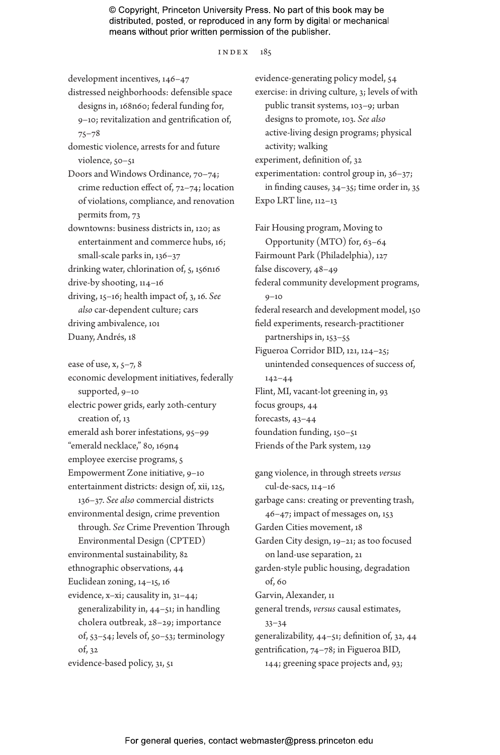#### index 185

development incentives, 146–47 distressed neighborhoods: defensible space designs in, 168n60; federal funding for, 9–10; revitalization and gentrification of, 75–78 domestic violence, arrests for and future violence, 50–51 Doors and Windows Ordinance, 70–74; crime reduction effect of, 72–74; location of violations, compliance, and renovation permits from, 73 downtowns: business districts in, 120; as entertainment and commerce hubs, 16; small-scale parks in, 136–37 drinking water, chlorination of, 5, 156n16 drive-by shooting, 114–16 driving, 15–16; health impact of, 3, 16. *See also* car-dependent culture; cars driving ambivalence, 101 Duany, Andrés, 18

ease of use,  $x, 5-7, 8$ 

economic development initiatives, federally supported, 9–10 electric power grids, early 20th-century creation of, 13 emerald ash borer infestations, 95–99 "emerald necklace," 80, 169n4 employee exercise programs, 5 Empowerment Zone initiative, 9–10 entertainment districts: design of, xii, 125, 136–37. *See also* commercial districts environmental design, crime prevention through. *See* Crime Prevention Through Environmental Design (CPTED) environmental sustainability, 82 ethnographic observations, 44 Euclidean zoning, 14–15, 16 evidence, x–xi; causality in, 31–44; generalizability in, 44–51; in handling cholera outbreak, 28–29; importance of, 53–54; levels of, 50–53; terminology of, 32 evidence-based policy, 31, 51

evidence-generating policy model, 54 exercise: in driving culture, 3; levels of with public transit systems, 103–9; urban designs to promote, 103. *See also* active-living design programs; physical activity; walking experiment, definition of, 32 experimentation: control group in, 36–37; in finding causes, 34–35; time order in, 35 Expo LRT line, 112–13

Fair Housing program, Moving to Opportunity (MTO) for, 63–64 Fairmount Park (Philadelphia), 127 false discovery, 48–49 federal community development programs,  $9 - 10$ federal research and development model, 150 field experiments, research-practitioner partnerships in, 153–55 Figueroa Corridor BID, 121, 124–25; unintended consequences of success of, 142–44 Flint, MI, vacant-lot greening in, 93 focus groups, 44 forecasts, 43–44 foundation funding, 150–51 Friends of the Park system, 129

gang violence, in through streets *versus* cul-de-sacs, 114–16 garbage cans: creating or preventing trash, 46–47; impact of messages on, 153 Garden Cities movement, 18 Garden City design, 19–21; as too focused on land-use separation, 21 garden-style public housing, degradation of, 60 Garvin, Alexander, 11 general trends, *versus* causal estimates, 33–34 generalizability, 44–51; definition of, 32, 44 gentrification, 74–78; in Figueroa BID, 144; greening space projects and, 93;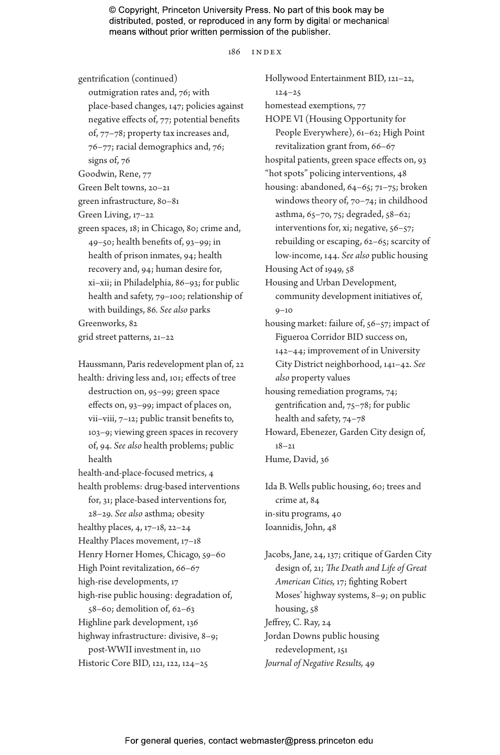186 index

gentrification (continued) outmigration rates and, 76; with place-based changes, 147; policies against negative effects of, 77; potential benefits of, 77–78; property tax increases and, 76–77; racial demographics and, 76; signs of, 76 Goodwin, Rene, 77 Green Belt towns, 20–21 green infrastructure, 80–81 Green Living, 17–22 green spaces, 18; in Chicago, 80; crime and, 49–50; health benefits of, 93–99; in health of prison inmates, 94; health recovery and, 94; human desire for, xi–xii; in Philadelphia, 86–93; for public health and safety, 79–100; relationship of with buildings, 86. *See also* parks Greenworks, 82 grid street patterns, 21–22 Haussmann, Paris redevelopment plan of, 22

health: driving less and, 101; effects of tree destruction on, 95–99; green space effects on, 93–99; impact of places on, vii–viii, 7–12; public transit benefits to, 103–9; viewing green spaces in recovery of, 94. *See also* health problems; public health health-and-place-focused metrics, 4 health problems: drug-based interventions for, 31; place-based interventions for, 28–29. *See also* asthma; obesity healthy places, 4, 17–18, 22–24 Healthy Places movement, 17–18 Henry Horner Homes, Chicago, 59–60 High Point revitalization, 66–67 high-rise developments, 17 high-rise public housing: degradation of, 58–60; demolition of, 62–63 Highline park development, 136 highway infrastructure: divisive, 8–9; post-WWII investment in, 110 Historic Core BID, 121, 122, 124–25

Hollywood Entertainment BID, 121–22, 124–25 homestead exemptions, 77 HOPE VI (Housing Opportunity for People Everywhere), 61–62; High Point revitalization grant from, 66–67 hospital patients, green space effects on, 93 "hot spots" policing interventions, 48 housing: abandoned, 64–65; 71–75; broken windows theory of, 70–74; in childhood asthma, 65–70, 75; degraded, 58–62; interventions for, xi; negative, 56–57; rebuilding or escaping, 62–65; scarcity of low-income, 144. *See also* public housing Housing Act of 1949, 58 Housing and Urban Development, community development initiatives of,  $9 - 10$ housing market: failure of, 56–57; impact of Figueroa Corridor BID success on, 142–44; improvement of in University City District neighborhood, 141–42. *See also* property values housing remediation programs, 74; gentrification and, 75–78; for public health and safety, 74–78 Howard, Ebenezer, Garden City design of, 18–21 Hume, David, 36

Ida B. Wells public housing, 60; trees and crime at, 84 in-situ programs, 40 Ioannidis, John, 48

Jacobs, Jane, 24, 137; critique of Garden City design of, 21; *The Death and Life of Great American Cities,* 17; fighting Robert Moses' highway systems, 8–9; on public housing, 58 Jeffrey, C. Ray, 24 Jordan Downs public housing redevelopment, 151 *Journal of Negative Results,* 49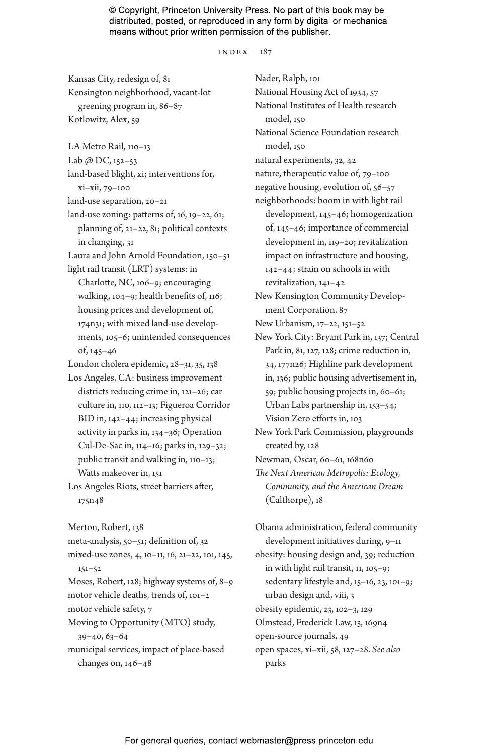index 187

| Kansas City, redesign of, 81                    | Nader, Ralph, 101                                   |
|-------------------------------------------------|-----------------------------------------------------|
| Kensington neighborhood, vacant-lot             | National Housing Act of 1934, 57                    |
| greening program in, 86-87                      | National Institutes of Health research              |
| Kotlowitz, Alex, 59                             | model, 150                                          |
|                                                 | National Science Foundation research                |
| LA Metro Rail, 110–13                           | model, 150                                          |
| Lab @ DC, $152 - 53$                            | natural experiments, 32, 42                         |
| land-based blight, xi; interventions for,       | nature, therapeutic value of, 79-100                |
| xi-xii, 79-100                                  | negative housing, evolution of, 56-57               |
| land-use separation, 20-21                      | neighborhoods: boom in with light rail              |
| land-use zoning: patterns of, 16, 19-22, 61;    | development, 145-46; homogenization                 |
| planning of, 21-22, 81; political contexts      | of, 145-46; importance of commercial                |
| in changing, 31                                 | development in, 119-20; revitalization              |
| Laura and John Arnold Foundation, 150-51        | impact on infrastructure and housing,               |
| light rail transit (LRT) systems: in            | 142-44; strain on schools in with                   |
| Charlotte, NC, 106-9; encouraging               | revitalization, 141-42                              |
| walking, 104-9; health benefits of, 116;        | New Kensington Community Develop-                   |
| housing prices and development of,              | ment Corporation, 87                                |
| 174n31; with mixed land-use develop-            | New Urbanism, 17-22, 151-52                         |
| ments, 105-6; unintended consequences           | New York City: Bryant Park in, 137; Central         |
| $of, 145 - 46$                                  | Park in, 81, 127, 128; crime reduction in,          |
| London cholera epidemic, 28-31, 35, 138         | 34, 177n26; Highline park development               |
| Los Angeles, CA: business improvement           | in, 136; public housing advertisement in,           |
| districts reducing crime in, 121-26; car        | 59; public housing projects in, 60-61;              |
| culture in, 110, 112-13; Figueroa Corridor      | Urban Labs partnership in, 153-54;                  |
| BID in, 142-44; increasing physical             | Vision Zero efforts in, 103                         |
| activity in parks in, 134-36; Operation         | New York Park Commission, playgrounds               |
| Cul-De-Sac in, 114-16; parks in, 129-32;        | created by, 128                                     |
| public transit and walking in, 110-13;          | Newman, Oscar, 60-61, 168n60                        |
| Watts makeover in, 151                          | The Next American Metropolis: Ecology,              |
| Los Angeles Riots, street barriers after,       | Community, and the American Dream                   |
| 175n48                                          | (Calthorpe), 18                                     |
|                                                 |                                                     |
| Merton, Robert, 138                             | Obama administration, federal community             |
| meta-analysis, 50-51; definition of, 32         | development initiatives during, 9-11                |
| mixed-use zones, 4, 10-11, 16, 21-22, 101, 145, | obesity: housing design and, 39; reduction          |
| $151 - 52$                                      | in with light rail transit, 11, 105-9;              |
| Moses, Robert, 128; highway systems of, 8-9     | sedentary lifestyle and, $15-16$ , $23$ , $101-9$ ; |
| motor vehicle deaths, trends of, 101-2          | urban design and, viii, 3                           |
| motor vehicle safety, 7                         | obesity epidemic, 23, 102-3, 129                    |
| Moving to Opportunity (MTO) study,              | Olmstead, Frederick Law, 15, 169n4                  |
| $39 - 40, 63 - 64$                              | open-source journals, 49                            |
| municipal services, impact of place-based       | open spaces, xi-xii, 58, 127-28. See also           |
| changes on, 146-48                              | parks                                               |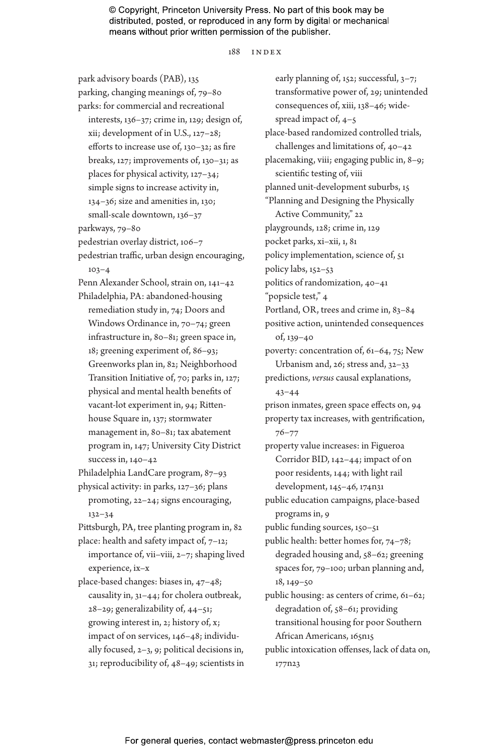#### 188 index

park advisory boards (PAB), 135 parking, changing meanings of, 79–80 parks: for commercial and recreational interests, 136–37; crime in, 129; design of, xii; development of in U.S., 127–28; efforts to increase use of, 130–32; as fire breaks, 127; improvements of, 130–31; as places for physical activity, 127–34; simple signs to increase activity in, 134–36; size and amenities in, 130; small-scale downtown, 136–37 parkways, 79–80 pedestrian overlay district, 106–7 pedestrian traffic, urban design encouraging, 103–4 Penn Alexander School, strain on, 141–42 Philadelphia, PA: abandoned-housing remediation study in, 74; Doors and Windows Ordinance in, 70–74; green infrastructure in, 80–81; green space in, 18; greening experiment of, 86–93; Greenworks plan in, 82; Neighborhood Transition Initiative of, 70; parks in, 127; physical and mental health benefits of vacant-lot experiment in, 94; Rittenhouse Square in, 137; stormwater management in, 80–81; tax abatement program in, 147; University City District success in, 140–42 Philadelphia LandCare program, 87–93 physical activity: in parks, 127–36; plans promoting, 22–24; signs encouraging, 132–34 Pittsburgh, PA, tree planting program in, 82 place: health and safety impact of, 7–12; importance of, vii–viii, 2–7; shaping lived experience, ix–x place-based changes: biases in, 47–48; causality in, 31–44; for cholera outbreak, 28–29; generalizability of, 44–51; growing interest in, 2; history of, x; impact of on services, 146–48; individually focused, 2–3, 9; political decisions in, 31; reproducibility of, 48–49; scientists in

early planning of, 152; successful, 3–7; transformative power of, 29; unintended consequences of, xiii, 138–46; widespread impact of, 4–5 place-based randomized controlled trials, challenges and limitations of, 40–42 placemaking, viii; engaging public in, 8–9; scientific testing of, viii planned unit-development suburbs, 15 "Planning and Designing the Physically Active Community," 22 playgrounds, 128; crime in, 129 pocket parks, xi–xii, 1, 81 policy implementation, science of, 51 policy labs, 152–53 politics of randomization, 40–41 "popsicle test," 4 Portland, OR, trees and crime in, 83–84 positive action, unintended consequences of, 139–40 poverty: concentration of, 61–64, 75; New Urbanism and, 26; stress and, 32–33 predictions, *versus* causal explanations, 43–44 prison inmates, green space effects on, 94 property tax increases, with gentrification, 76–77 property value increases: in Figueroa Corridor BID, 142–44; impact of on poor residents, 144; with light rail development, 145–46, 174n31 public education campaigns, place-based programs in, 9 public funding sources, 150–51 public health: better homes for, 74–78; degraded housing and, 58–62; greening spaces for, 79–100; urban planning and, 18, 149–50 public housing: as centers of crime, 61–62; degradation of, 58–61; providing transitional housing for poor Southern African Americans, 165n15 public intoxication offenses, lack of data on, 177n23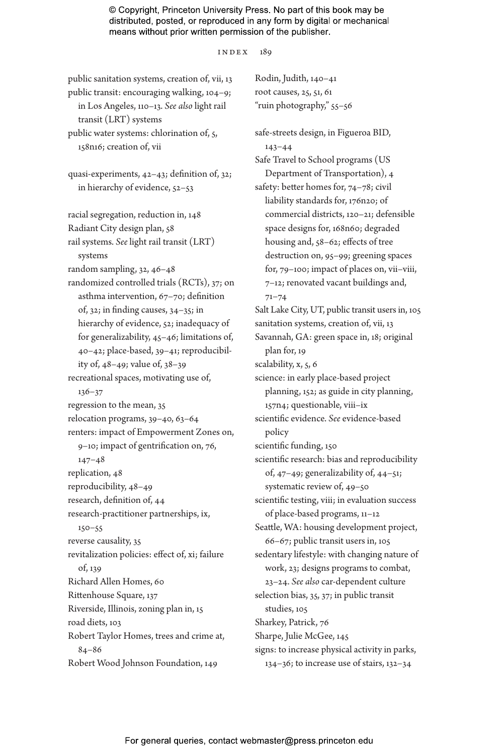index 189

| public sanitation systems, creation of, vii, 13                                 | Rodin, Judith, 140–41                                                           |
|---------------------------------------------------------------------------------|---------------------------------------------------------------------------------|
| public transit: encouraging walking, 104-9;                                     | root causes, 25, 51, 61                                                         |
| in Los Angeles, 110-13. See also light rail                                     | "ruin photography," 55-56                                                       |
| transit (LRT) systems                                                           |                                                                                 |
| public water systems: chlorination of, 5,                                       | safe-streets design, in Figueroa BID,                                           |
| 158n16; creation of, vii                                                        |                                                                                 |
|                                                                                 | $143 - 44$<br>Safe Travel to School programs (US                                |
|                                                                                 | Department of Transportation), 4                                                |
| quasi-experiments, 42-43; definition of, 32;<br>in hierarchy of evidence, 52-53 | safety: better homes for, 74-78; civil                                          |
|                                                                                 | liability standards for, 176n20; of                                             |
|                                                                                 |                                                                                 |
| racial segregation, reduction in, 148                                           | commercial districts, 120-21; defensible<br>space designs for, 168n60; degraded |
| Radiant City design plan, 58                                                    |                                                                                 |
| rail systems. See light rail transit (LRT)                                      | housing and, 58-62; effects of tree                                             |
| systems                                                                         | destruction on, 95-99; greening spaces                                          |
| random sampling, 32, 46-48                                                      | for, 79-100; impact of places on, vii-viii,                                     |
| randomized controlled trials (RCTs), 37; on                                     | $7-12$ ; renovated vacant buildings and,                                        |
| asthma intervention, 67-70; definition                                          | $71 - 74$                                                                       |
| of, 32; in finding causes, 34-35; in                                            | Salt Lake City, UT, public transit users in, 105                                |
| hierarchy of evidence, 52; inadequacy of                                        | sanitation systems, creation of, vii, 13                                        |
| for generalizability, 45-46; limitations of,                                    | Savannah, GA: green space in, 18; original                                      |
| 40-42; place-based, 39-41; reproducibil-                                        | plan for, 19                                                                    |
| ity of, 48-49; value of, 38-39                                                  | scalability, x, 5, 6                                                            |
| recreational spaces, motivating use of,                                         | science: in early place-based project                                           |
| $136 - 37$                                                                      | planning, 152; as guide in city planning,                                       |
| regression to the mean, 35                                                      | 157n4; questionable, viii-ix                                                    |
| relocation programs, 39-40, 63-64                                               | scientific evidence. See evidence-based                                         |
| renters: impact of Empowerment Zones on,                                        | policy                                                                          |
| 9-10; impact of gentrification on, 76,                                          | scientific funding, 150                                                         |
| $147 - 48$                                                                      | scientific research: bias and reproducibility                                   |
| replication, 48                                                                 | of, 47-49; generalizability of, 44-51;                                          |
| reproducibility, 48-49                                                          | systematic review of, 49-50                                                     |
| research, definition of, 44                                                     | scientific testing, viii; in evaluation success                                 |
| research-practitioner partnerships, ix,                                         | of place-based programs, 11-12                                                  |
| $150 - 55$                                                                      | Seattle, WA: housing development project,                                       |
| reverse causality, 35                                                           | 66-67; public transit users in, 105                                             |
| revitalization policies: effect of, xi; failure                                 | sedentary lifestyle: with changing nature of                                    |
| of, 139                                                                         | work, 23; designs programs to combat,                                           |
| Richard Allen Homes, 60                                                         | 23-24. See also car-dependent culture                                           |
| Rittenhouse Square, 137                                                         | selection bias, 35, 37; in public transit                                       |
| Riverside, Illinois, zoning plan in, 15                                         | studies, 105                                                                    |
| road diets, 103                                                                 | Sharkey, Patrick, 76                                                            |
| Robert Taylor Homes, trees and crime at,                                        | Sharpe, Julie McGee, 145                                                        |
| $84 - 86$                                                                       | signs: to increase physical activity in parks,                                  |
| Robert Wood Johnson Foundation, 149                                             | 134-36; to increase use of stairs, 132-34                                       |
|                                                                                 |                                                                                 |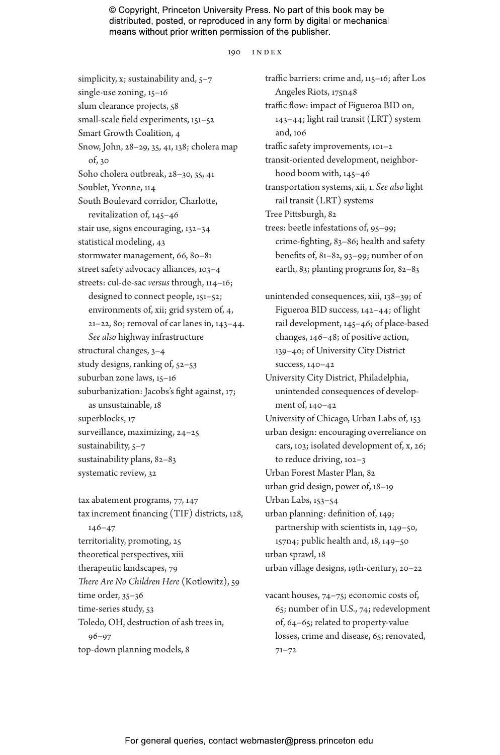#### 190 index

simplicity, x; sustainability and,  $5-7$ single-use zoning, 15–16 slum clearance projects, 58 small-scale field experiments, 151–52 Smart Growth Coalition, 4 Snow, John, 28–29, 35, 41, 138; cholera map of, 30 Soho cholera outbreak, 28–30, 35, 41 Soublet, Yvonne, 114 South Boulevard corridor, Charlotte, revitalization of, 145–46 stair use, signs encouraging, 132–34 statistical modeling, 43 stormwater management, 66, 80–81 street safety advocacy alliances, 103–4 streets: cul-de-sac *versus* through, 114–16; designed to connect people, 151–52; environments of, xii; grid system of, 4, 21–22, 80; removal of car lanes in, 143–44. *See also* highway infrastructure structural changes, 3–4 study designs, ranking of, 52–53 suburban zone laws, 15–16 suburbanization: Jacobs's fight against, 17; as unsustainable, 18 superblocks, 17 surveillance, maximizing, 24–25 sustainability,  $5-7$ sustainability plans, 82–83 systematic review, 32

tax abatement programs, 77, 147 tax increment financing (TIF) districts, 128, 146–47 territoriality, promoting, 25 theoretical perspectives, xiii therapeutic landscapes, 79 *There Are No Children Here* (Kotlowitz), 59 time order, 35–36 time-series study, 53 Toledo, OH, destruction of ash trees in, 96–97 top-down planning models, 8

traffic barriers: crime and, 115–16; after Los Angeles Riots, 175n48 traffic flow: impact of Figueroa BID on, 143–44; light rail transit (LRT) system and, 106 traffic safety improvements, 101–2 transit-oriented development, neighborhood boom with, 145–46 transportation systems, xii, 1. *See also* light rail transit (LRT) systems Tree Pittsburgh, 82 trees: beetle infestations of, 95–99; crime-fighting, 83–86; health and safety benefits of, 81–82, 93–99; number of on earth, 83; planting programs for, 82–83 unintended consequences, xiii, 138–39; of Figueroa BID success, 142–44; of light rail development, 145–46; of place-based changes, 146–48; of positive action, 139–40; of University City District success, 140–42 University City District, Philadelphia, unintended consequences of development of, 140–42 University of Chicago, Urban Labs of, 153 urban design: encouraging overreliance on cars, 103; isolated development of, x, 26; to reduce driving, 102–3 Urban Forest Master Plan, 82 urban grid design, power of, 18–19 Urban Labs, 153–54 urban planning: definition of, 149; partnership with scientists in, 149–50, 157n4; public health and, 18, 149–50 urban sprawl, 18 urban village designs, 19th-century, 20–22

vacant houses, 74–75; economic costs of, 65; number of in U.S., 74; redevelopment of, 64–65; related to property-value losses, crime and disease, 65; renovated, 71–72